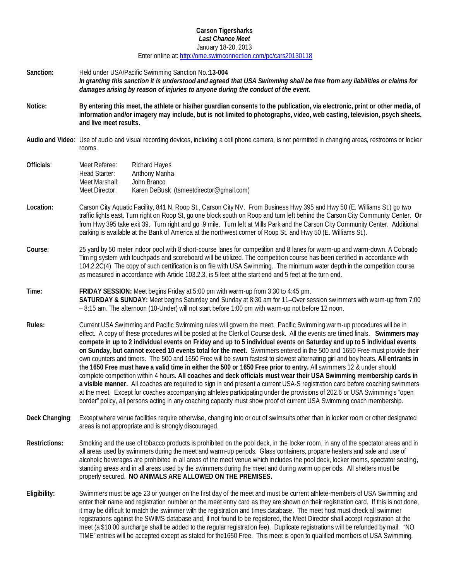#### **Carson Tigersharks** *Last Chance Meet* January 18-20, 2013

Enter online at:<http://ome.swimconnection.com/pc/cars20130118>

- **Sanction:** Held under USA/Pacific Swimming Sanction No.:**13-004** *In granting this sanction it is understood and agreed that USA Swimming shall be free from any liabilities or claims for damages arising by reason of injuries to anyone during the conduct of the event.*
- **Notice: By entering this meet, the athlete or his/her guardian consents to the publication, via electronic, print or other media, of information and/or imagery may include, but is not limited to photographs, video, web casting, television, psych sheets, and live meet results.**
- **Audio and Video**: Use of audio and visual recording devices, including a cell phone camera, is not permitted in changing areas, restrooms or locker rooms.
- **Officials**: Meet Referee: Richard Hayes Head Starter: Anthony Manha Meet Marshall: John Branco<br>Meet Director: Karen DeBus Karen DeBusk (tsmeetdirector@gmail.com)
- **Location:** Carson City Aquatic Facility, 841 N. Roop St., Carson City NV. From Business Hwy 395 and Hwy 50 (E. Williams St.) go two traffic lights east. Turn right on Roop St, go one block south on Roop and turn left behind the Carson City Community Center. **Or** from Hwy 395 take exit 39. Turn right and go .9 mile. Turn left at Mills Park and the Carson City Community Center. Additional parking is available at the Bank of America at the northwest corner of Roop St. and Hwy 50 (E. Williams St.).
- **Course**: 25 yard by 50 meter indoor pool with 8 short-course lanes for competition and 8 lanes for warm-up and warm-down. A Colorado Timing system with touchpads and scoreboard will be utilized. The competition course has been certified in accordance with 104.2.2C(4). The copy of such certification is on file with USA Swimming. The minimum water depth in the competition course as measured in accordance with Article 103.2.3, is 5 feet at the start end and 5 feet at the turn end.
- **Time: FRIDAY SESSION:** Meet begins Friday at 5:00 pm with warm-up from 3:30 to 4:45 pm. **SATURDAY & SUNDAY:** Meet begins Saturday and Sunday at 8:30 am for 11–Over session swimmers with warm-up from 7:00 – 8:15 am. The afternoon (10-Under) will not start before 1:00 pm with warm-up not before 12 noon.
- **Rules:** Current USA Swimming and Pacific Swimming rules will govern the meet. Pacific Swimming warm-up procedures will be in effect. A copy of these procedures will be posted at the Clerk of Course desk. All the events are timed finals. **Swimmers may compete in up to 2 individual events on Friday and up to 5 individual events on Saturday and up to 5 individual events on Sunday, but cannot exceed 10 events total for the meet.** Swimmers entered in the 500 and 1650 Free must provide their own counters and timers. The 500 and 1650 Free will be swum fastest to slowest alternating girl and boy heats. **All entrants in the 1650 Free must have a valid time in either the 500 or 1650 Free prior to entry.** All swimmers 12 & under should complete competition within 4 hours. **All coaches and deck officials must wear their USA Swimming membership cards in a visible manner.** All coaches are required to sign in and present a current USA-S registration card before coaching swimmers at the meet. Except for coaches accompanying athletes participating under the provisions of 202.6 or USA Swimming's "open border" policy, all persons acting in any coaching capacity must show proof of current USA Swimming coach membership.
- **Deck Changing**: Except where venue facilities require otherwise, changing into or out of swimsuits other than in locker room or other designated areas is not appropriate and is strongly discouraged.
- **Restrictions:** Smoking and the use of tobacco products is prohibited on the pool deck, in the locker room, in any of the spectator areas and in all areas used by swimmers during the meet and warm-up periods. Glass containers, propane heaters and sale and use of alcoholic beverages are prohibited in all areas of the meet venue which includes the pool deck, locker rooms, spectator seating, standing areas and in all areas used by the swimmers during the meet and during warm up periods. All shelters must be properly secured. **NO ANIMALS ARE ALLOWED ON THE PREMISES.**
- **Eligibility:** Swimmers must be age 23 or younger on the first day of the meet and must be current athlete-members of USA Swimming and enter their name and registration number on the meet entry card as they are shown on their registration card. If this is not done, it may be difficult to match the swimmer with the registration and times database. The meet host must check all swimmer registrations against the SWIMS database and, if not found to be registered, the Meet Director shall accept registration at the meet (a \$10.00 surcharge shall be added to the regular registration fee). Duplicate registrations will be refunded by mail. "NO TIME" entries will be accepted except as stated for the1650 Free. This meet is open to qualified members of USA Swimming.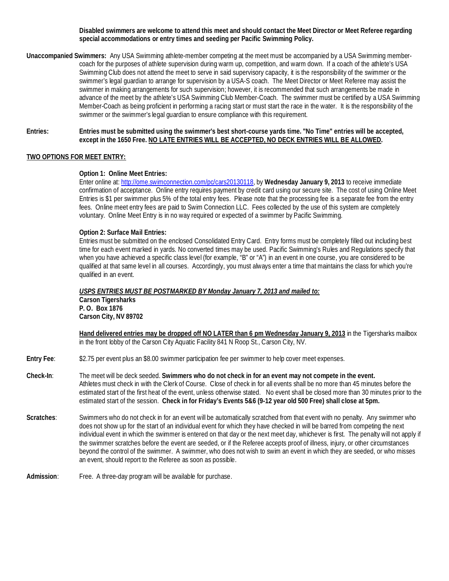#### **Disabled swimmers are welcome to attend this meet and should contact the Meet Director or Meet Referee regarding special accommodations or entry times and seeding per Pacific Swimming Policy.**

**Unaccompanied Swimmers:** Any USA Swimming athlete-member competing at the meet must be accompanied by a USA Swimming membercoach for the purposes of athlete supervision during warm up, competition, and warm down. If a coach of the athlete's USA Swimming Club does not attend the meet to serve in said supervisory capacity, it is the responsibility of the swimmer or the swimmer's legal guardian to arrange for supervision by a USA-S coach. The Meet Director or Meet Referee may assist the swimmer in making arrangements for such supervision; however, it is recommended that such arrangements be made in advance of the meet by the athlete's USA Swimming Club Member-Coach. The swimmer must be certified by a USA Swimming Member-Coach as being proficient in performing a racing start or must start the race in the water. It is the responsibility of the swimmer or the swimmer's legal guardian to ensure compliance with this requirement.

#### **Entries: Entries must be submitted using the swimmer's best short-course yards time. "No Time" entries will be accepted, except in the 1650 Free. NO LATE ENTRIES WILL BE ACCEPTED, NO DECK ENTRIES WILL BE ALLOWED.**

# **TWO OPTIONS FOR MEET ENTRY:**

# **Option 1: Online Meet Entries:**

Enter online at[: http://ome.swimconnection.com/pc/cars20130118,](http://ome.swimconnection.com/pc/meet/cars20130118) by **Wednesday January 9, 2013** to receive immediate confirmation of acceptance. Online entry requires payment by credit card using our secure site. The cost of using Online Meet Entries is \$1 per swimmer plus 5% of the total entry fees. Please note that the processing fee is a separate fee from the entry fees. Online meet entry fees are paid to Swim Connection LLC. Fees collected by the use of this system are completely voluntary. Online Meet Entry is in no way required or expected of a swimmer by Pacific Swimming.

# **Option 2: Surface Mail Entries:**

Entries must be submitted on the enclosed Consolidated Entry Card. Entry forms must be completely filled out including best time for each event marked in yards. No converted times may be used. Pacific Swimming's Rules and Regulations specify that when you have achieved a specific class level (for example, "B" or "A") in an event in one course, you are considered to be qualified at that same level in all courses. Accordingly, you must always enter a time that maintains the class for which you're qualified in an event.

*USPS ENTRIES MUST BE POSTMARKED BY Monday January 7, 2013 and mailed to:* **Carson Tigersharks P. O. Box 1876 Carson City, NV 89702**

**Hand delivered entries may be dropped off NO LATER than 6 pm Wednesday January 9, 2013** in the Tigersharks mailbox in the front lobby of the Carson City Aquatic Facility 841 N Roop St., Carson City, NV.

**Entry Fee**: \$2.75 per event plus an \$8.00 swimmer participation fee per swimmer to help cover meet expenses.

- **Check-In**: The meet will be deck seeded. **Swimmers who do not check in for an event may not compete in the event.** Athletes must check in with the Clerk of Course. Close of check in for all events shall be no more than 45 minutes before the estimated start of the first heat of the event, unless otherwise stated. No event shall be closed more than 30 minutes prior to the estimated start of the session. **Check in for Friday's Events 5&6 (9-12 year old 500 Free) shall close at 5pm.**
- **Scratches**: Swimmers who do not check in for an event will be automatically scratched from that event with no penalty. Any swimmer who does not show up for the start of an individual event for which they have checked in will be barred from competing the next individual event in which the swimmer is entered on that day or the next meet day, whichever is first. The penalty will not apply if the swimmer scratches before the event are seeded, or if the Referee accepts proof of illness, injury, or other circumstances beyond the control of the swimmer. A swimmer, who does not wish to swim an event in which they are seeded, or who misses an event, should report to the Referee as soon as possible.
- **Admission**: Free. A three-day program will be available for purchase.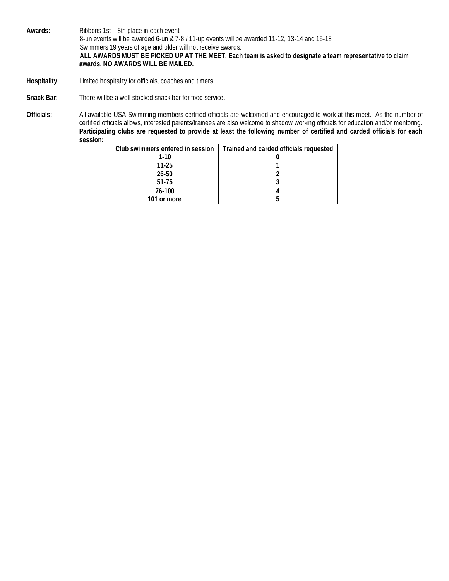**Awards:** Ribbons 1st – 8th place in each event 8-un events will be awarded 6-un & 7-8 / 11-up events will be awarded 11-12, 13-14 and 15-18 Swimmers 19 years of age and older will not receive awards.  **ALL AWARDS MUST BE PICKED UP AT THE MEET. Each team is asked to designate a team representative to claim awards. NO AWARDS WILL BE MAILED.** 

- **Hospitality**: Limited hospitality for officials, coaches and timers.
- **Snack Bar:** There will be a well-stocked snack bar for food service.

**Officials:** All available USA Swimming members certified officials are welcomed and encouraged to work at this meet. As the number of certified officials allows, interested parents/trainees are also welcome to shadow working officials for education and/or mentoring. **Participating clubs are requested to provide at least the following number of certified and carded officials for each session:**

| Club swimmers entered in session | Trained and carded officials requested |
|----------------------------------|----------------------------------------|
| $1-10$                           |                                        |
| 11-25                            |                                        |
| $26 - 50$                        |                                        |
| 51-75                            |                                        |
| 76-100                           |                                        |
| 101 or more                      |                                        |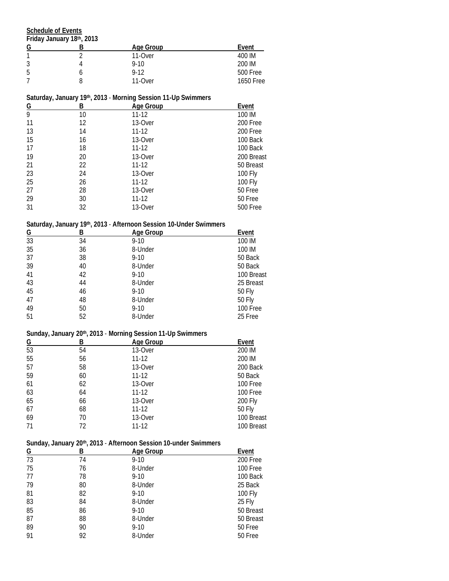**Schedule of Events**

**Friday January 18th, 2013**

| G | Age Group | Event     |
|---|-----------|-----------|
| 1 | 11-Over   | 400 IM    |
| 3 | $9 - 10$  | 200 IM    |
| 5 | $9-12$    | 500 Free  |
|   | 11-Over   | 1650 Free |

#### **Saturday, January 19th, 2013** - **Morning Session 11-Up Swimmers**

| В<br><u>G</u> |    | Age Group | Event      |  |
|---------------|----|-----------|------------|--|
| 9             | 10 | $11 - 12$ | 100 IM     |  |
| 11            | 12 | 13-Over   | 200 Free   |  |
| 13            | 14 | $11 - 12$ | 200 Free   |  |
| 15            | 16 | 13-Over   | 100 Back   |  |
| 17            | 18 | $11 - 12$ | 100 Back   |  |
| 19            | 20 | 13-Over   | 200 Breast |  |
| 21            | 22 | $11 - 12$ | 50 Breast  |  |
| 23            | 24 | 13-Over   | 100 Fly    |  |
| 25            | 26 | $11 - 12$ | 100 Fly    |  |
| 27            | 28 | 13-Over   | 50 Free    |  |
| 29            | 30 | $11 - 12$ | 50 Free    |  |
| 31            | 32 | 13-Over   | 500 Free   |  |

# **Saturday, January 19th, 2013** - **Afternoon Session 10-Under Swimmers**

| Age Group<br>В |          | Event         |
|----------------|----------|---------------|
| 34             | $9 - 10$ | 100 IM        |
| 36             | 8-Under  | 100 IM        |
| 38             | $9-10$   | 50 Back       |
| 40             | 8-Under  | 50 Back       |
| 42             | $9-10$   | 100 Breast    |
| 44             | 8-Under  | 25 Breast     |
| 46             | $9 - 10$ | <b>50 Fly</b> |
| 48             | 8-Under  | <b>50 Fly</b> |
| 50             | $9 - 10$ | 100 Free      |
| 52             | 8-Under  | 25 Free       |
|                |          |               |

# **Sunday, January 20th, 2013** - **Morning Session 11-Up Swimmers**

| G  | Age Group<br>В |           | Event      |  |
|----|----------------|-----------|------------|--|
| 53 | 54             | 13-Over   | 200 IM     |  |
| 55 | 56             | $11 - 12$ | 200 IM     |  |
| 57 | 58             | 13-Over   | 200 Back   |  |
| 59 | 60             | $11 - 12$ | 50 Back    |  |
| 61 | 62             | 13-Over   | 100 Free   |  |
| 63 | 64             | $11 - 12$ | 100 Free   |  |
| 65 | 66             | 13-Over   | 200 Fly    |  |
| 67 | 68             | $11 - 12$ | 50 Fly     |  |
| 69 | 70             | 13-Over   | 100 Breast |  |
| 71 | 72             | 11-12     | 100 Breast |  |

# **Sunday, January 20th, 2013** - **Afternoon Session 10-under Swimmers**

| G  | В  | Age Group | Event     |
|----|----|-----------|-----------|
| 73 | 74 | $9 - 10$  | 200 Free  |
| 75 | 76 | 8-Under   | 100 Free  |
| 77 | 78 | $9 - 10$  | 100 Back  |
| 79 | 80 | 8-Under   | 25 Back   |
| 81 | 82 | $9 - 10$  | 100 Fly   |
| 83 | 84 | 8-Under   | 25 Fly    |
| 85 | 86 | $9 - 10$  | 50 Breast |
| 87 | 88 | 8-Under   | 50 Breast |
| 89 | 90 | $9 - 10$  | 50 Free   |
| 91 | 92 | 8-Under   | 50 Free   |